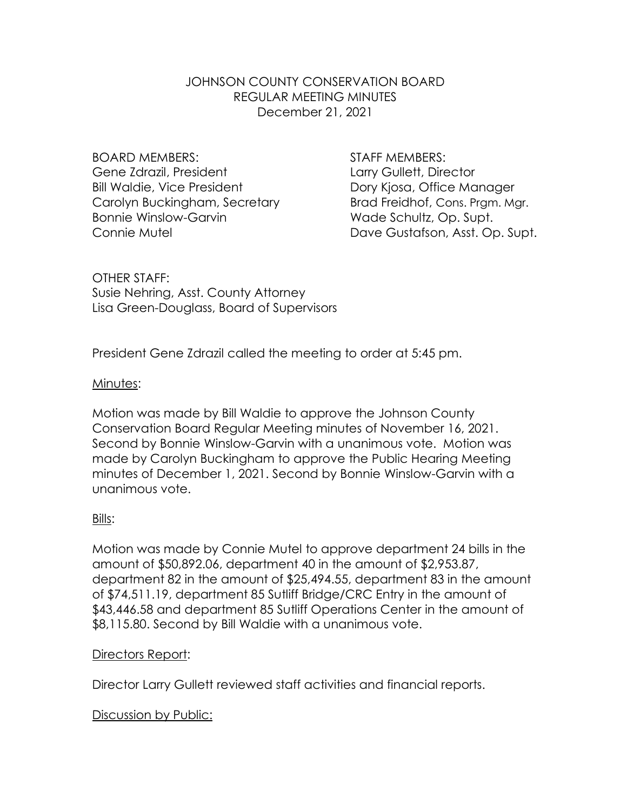# JOHNSON COUNTY CONSERVATION BOARD REGULAR MEETING MINUTES December 21, 2021

BOARD MEMBERS: STAFF MEMBERS: Gene Zdrazil, President **Larry Gullett**, Director Bill Waldie, Vice President **Dory Kiosa**, Office Manager Carolyn Buckingham, Secretary **Brad Freidhof, Cons. Prgm. Mgr.** Bonnie Winslow-Garvin Wade Schultz, Op. Supt.

Connie Mutel **Connie Mutel** Dave Gustafson, Asst. Op. Supt.

OTHER STAFF: Susie Nehring, Asst. County Attorney Lisa Green-Douglass, Board of Supervisors

President Gene Zdrazil called the meeting to order at 5:45 pm.

#### Minutes:

Motion was made by Bill Waldie to approve the Johnson County Conservation Board Regular Meeting minutes of November 16, 2021. Second by Bonnie Winslow-Garvin with a unanimous vote. Motion was made by Carolyn Buckingham to approve the Public Hearing Meeting minutes of December 1, 2021. Second by Bonnie Winslow-Garvin with a unanimous vote.

# Bills:

Motion was made by Connie Mutel to approve department 24 bills in the amount of \$50,892.06, department 40 in the amount of \$2,953.87, department 82 in the amount of \$25,494.55, department 83 in the amount of \$74,511.19, department 85 Sutliff Bridge/CRC Entry in the amount of \$43,446.58 and department 85 Sutliff Operations Center in the amount of \$8,115.80. Second by Bill Waldie with a unanimous vote.

# Directors Report:

Director Larry Gullett reviewed staff activities and financial reports.

# Discussion by Public: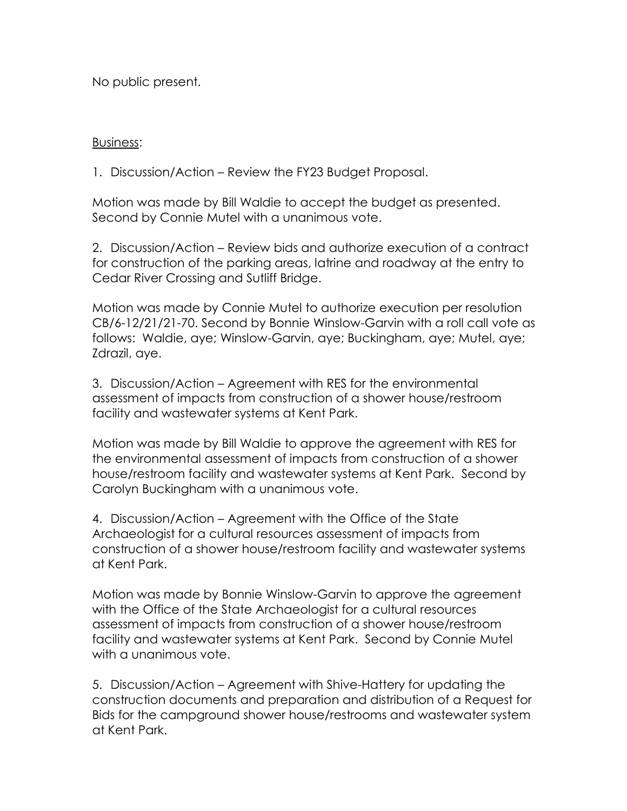No public present.

#### Business:

1. Discussion/Action – Review the FY23 Budget Proposal.

Motion was made by Bill Waldie to accept the budget as presented. Second by Connie Mutel with a unanimous vote.

2. Discussion/Action – Review bids and authorize execution of a contract for construction of the parking areas, latrine and roadway at the entry to Cedar River Crossing and Sutliff Bridge.

Motion was made by Connie Mutel to authorize execution per resolution CB/6-12/21/21-70. Second by Bonnie Winslow-Garvin with a roll call vote as follows: Waldie, aye; Winslow-Garvin, aye; Buckingham, aye; Mutel, aye; Zdrazil, aye.

3. Discussion/Action – Agreement with RES for the environmental assessment of impacts from construction of a shower house/restroom facility and wastewater systems at Kent Park.

Motion was made by Bill Waldie to approve the agreement with RES for the environmental assessment of impacts from construction of a shower house/restroom facility and wastewater systems at Kent Park. Second by Carolyn Buckingham with a unanimous vote.

4. Discussion/Action – Agreement with the Office of the State Archaeologist for a cultural resources assessment of impacts from construction of a shower house/restroom facility and wastewater systems at Kent Park.

Motion was made by Bonnie Winslow-Garvin to approve the agreement with the Office of the State Archaeologist for a cultural resources assessment of impacts from construction of a shower house/restroom facility and wastewater systems at Kent Park. Second by Connie Mutel with a unanimous vote.

5. Discussion/Action – Agreement with Shive-Hattery for updating the construction documents and preparation and distribution of a Request for Bids for the campground shower house/restrooms and wastewater system at Kent Park.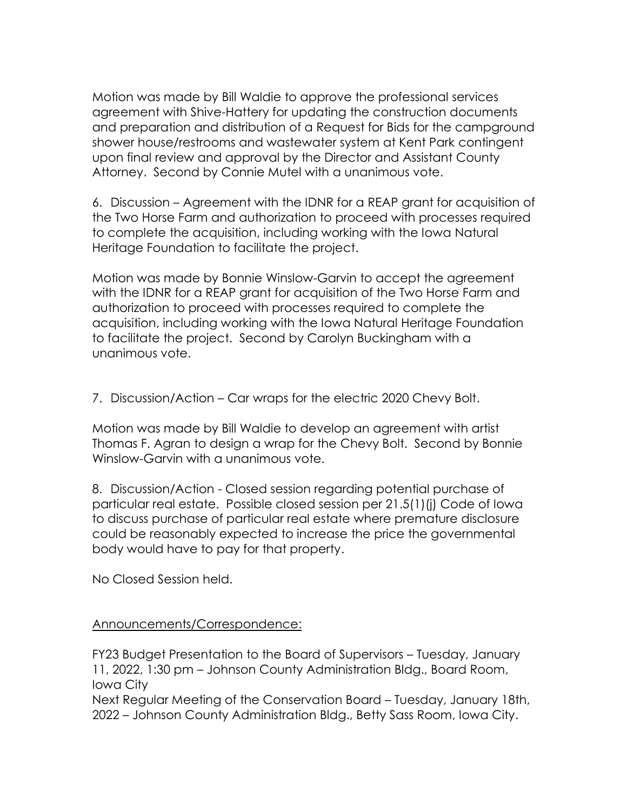Motion was made by Bill Waldie to approve the professional services agreement with Shive-Hattery for updating the construction documents and preparation and distribution of a Request for Bids for the campground shower house/restrooms and wastewater system at Kent Park contingent upon final review and approval by the Director and Assistant County Attorney. Second by Connie Mutel with a unanimous vote.

6. Discussion – Agreement with the IDNR for a REAP grant for acquisition of the Two Horse Farm and authorization to proceed with processes required to complete the acquisition, including working with the Iowa Natural Heritage Foundation to facilitate the project.

Motion was made by Bonnie Winslow-Garvin to accept the agreement with the IDNR for a REAP grant for acquisition of the Two Horse Farm and authorization to proceed with processes required to complete the acquisition, including working with the Iowa Natural Heritage Foundation to facilitate the project. Second by Carolyn Buckingham with a unanimous vote.

7. Discussion/Action – Car wraps for the electric 2020 Chevy Bolt.

Motion was made by Bill Waldie to develop an agreement with artist Thomas F. Agran to design a wrap for the Chevy Bolt. Second by Bonnie Winslow-Garvin with a unanimous vote.

8. Discussion/Action - Closed session regarding potential purchase of particular real estate. Possible closed session per 21.5(1)(j) Code of Iowa to discuss purchase of particular real estate where premature disclosure could be reasonably expected to increase the price the governmental body would have to pay for that property.

No Closed Session held.

# Announcements/Correspondence:

FY23 Budget Presentation to the Board of Supervisors – Tuesday, January 11, 2022, 1:30 pm – Johnson County Administration Bldg., Board Room, Iowa City

Next Regular Meeting of the Conservation Board – Tuesday, January 18th, 2022 – Johnson County Administration Bldg., Betty Sass Room, Iowa City.